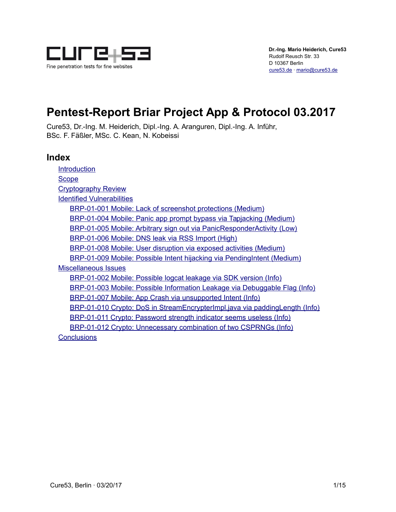

# **Pentest-Report Briar Project App & Protocol 03.2017**

Cure53, Dr.-Ing. M. Heiderich, Dipl.-Ing. A. Aranguren, Dipl.-Ing. A. Inführ, BSc. F. Fäßler, MSc. C. Kean, N. Kobeissi

### **Index**

**[Introduction](#page-1-1) [Scope](#page-1-0)** [Cryptography Review](#page-2-2) [Identified Vulnerabilities](#page-2-1) [BRP-01-001 Mobile: Lack of screenshot protections \(Medium\)](#page-2-0) [BRP-01-004 Mobile: Panic app prompt bypass via Tapjacking \(Medium\)](#page-3-0) [BRP-01-005 Mobile: Arbitrary sign out via PanicResponderActivity \(Low\)](#page-4-0) [BRP-01-006 Mobile: DNS leak via RSS Import \(High\)](#page-6-0) [BRP-01-008 Mobile: User disruption via exposed activities \(Medium\)](#page-7-1) [BRP-01-009 Mobile: Possible Intent hijacking via PendingIntent \(Medium\)](#page-7-0) [Miscellaneous Issues](#page-9-1) [BRP-01-002 Mobile: Possible logcat leakage via SDK version \(Info\)](#page-9-0) [BRP-01-003 Mobile: Possible Information Leakage via Debuggable Flag \(Info\)](#page-10-1) [BRP-01-007 Mobile: App Crash via unsupported Intent \(Info\)](#page-10-0) [BRP-01-010 Crypto: DoS in StreamEncrypterImpl.java via paddingLength \(Info\)](#page-11-0) [BRP-01-011 Crypto: Password strength indicator seems useless \(Info\)](#page-12-1) [BRP-01-012 Crypto: Unnecessary combination of two CSPRNGs \(Info\)](#page-12-0) **[Conclusions](#page-13-0)**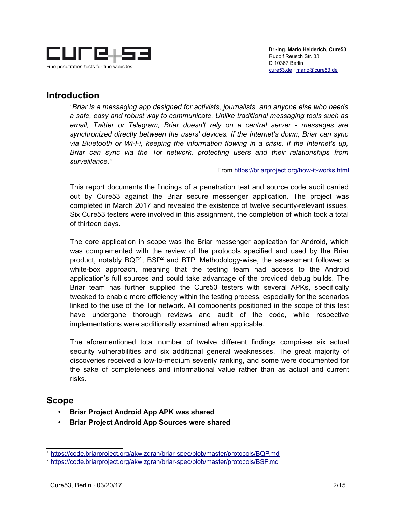

### <span id="page-1-1"></span>**Introduction**

*"Briar is a messaging app designed for activists, journalists, and anyone else who needs a safe, easy and robust way to communicate. Unlike traditional messaging tools such as email, Twitter or Telegram, Briar doesn't rely on a central server - messages are synchronized directly between the users' devices. If the Internet's down, Briar can sync via Bluetooth or Wi-Fi, keeping the information flowing in a crisis. If the Internet's up, Briar can sync via the Tor network, protecting users and their relationships from surveillance."*

#### From<https://briarproject.org/how-it-works.html>

This report documents the findings of a penetration test and source code audit carried out by Cure53 against the Briar secure messenger application. The project was completed in March 2017 and revealed the existence of twelve security-relevant issues. Six Cure53 testers were involved in this assignment, the completion of which took a total of thirteen days.

The core application in scope was the Briar messenger application for Android, which was complemented with the review of the protocols specified and used by the Briar product, notably BQP<sup>[1](#page-1-2)</sup>, BSP<sup>[2](#page-1-3)</sup> and BTP. Methodology-wise, the assessment followed a white-box approach, meaning that the testing team had access to the Android application's full sources and could take advantage of the provided debug builds. The Briar team has further supplied the Cure53 testers with several APKs, specifically tweaked to enable more efficiency within the testing process, especially for the scenarios linked to the use of the Tor network. All components positioned in the scope of this test have undergone thorough reviews and audit of the code, while respective implementations were additionally examined when applicable.

The aforementioned total number of twelve different findings comprises six actual security vulnerabilities and six additional general weaknesses. The great majority of discoveries received a low-to-medium severity ranking, and some were documented for the sake of completeness and informational value rather than as actual and current risks.

### <span id="page-1-0"></span>**Scope**

- **Briar Project Android App APK was shared**
- **Briar Project Android App Sources were shared**

<span id="page-1-2"></span><sup>1</sup> <https://code.briarproject.org/akwizgran/briar-spec/blob/master/protocols/BQP.md>

<span id="page-1-3"></span><sup>2</sup> <https://code.briarproject.org/akwizgran/briar-spec/blob/master/protocols/BSP.md>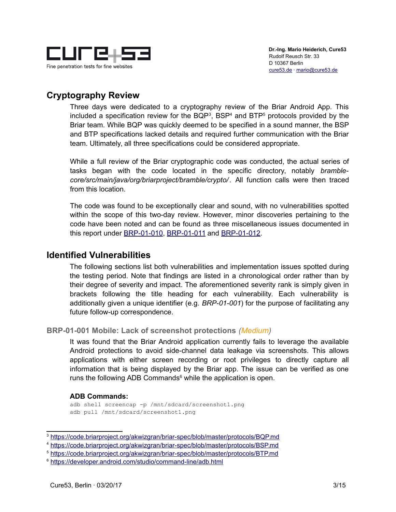

## <span id="page-2-2"></span>**Cryptography Review**

Three days were dedicated to a cryptography review of the Briar Android App. This included a specification review for the BQP<sup>[3](#page-2-3)</sup>, BSP<sup>[4](#page-2-4)</sup> and BTP<sup>[5](#page-2-5)</sup> protocols provided by the Briar team. While BQP was quickly deemed to be specified in a sound manner, the BSP and BTP specifications lacked details and required further communication with the Briar team. Ultimately, all three specifications could be considered appropriate.

While a full review of the Briar cryptographic code was conducted, the actual series of tasks began with the code located in the specific directory, notably *bramblecore/src/main/java/org/briarproject/bramble/crypto/*. All function calls were then traced from this location.

The code was found to be exceptionally clear and sound, with no vulnerabilities spotted within the scope of this two-day review. However, minor discoveries pertaining to the code have been noted and can be found as three miscellaneous issues documented in this report under [BRP-01-010,](#page-11-0) [BRP-01-011](#page-12-1) and [BRP-01-012.](#page-12-0)

### <span id="page-2-1"></span>**Identified Vulnerabilities**

The following sections list both vulnerabilities and implementation issues spotted during the testing period. Note that findings are listed in a chronological order rather than by their degree of severity and impact. The aforementioned severity rank is simply given in brackets following the title heading for each vulnerability. Each vulnerability is additionally given a unique identifier (e.g. *BRP-01-001*) for the purpose of facilitating any future follow-up correspondence.

### <span id="page-2-0"></span>**BRP-01-001 Mobile: Lack of screenshot protections** *(Medium)*

It was found that the Briar Android application currently fails to leverage the available Android protections to avoid side-channel data leakage via screenshots. This allows applications with either screen recording or root privileges to directly capture all information that is being displayed by the Briar app. The issue can be verified as one runs the following ADB Commands<sup>[6](#page-2-6)</sup> while the application is open.

#### **ADB Commands:**

adb shell screencap -p /mnt/sdcard/screenshot1.png adb pull /mnt/sdcard/screenshot1.png

<span id="page-2-3"></span><sup>3</sup> <https://code.briarproject.org/akwizgran/briar-spec/blob/master/protocols/BQP.md>

<span id="page-2-4"></span><sup>4</sup> <https://code.briarproject.org/akwizgran/briar-spec/blob/master/protocols/BSP.md>

<span id="page-2-5"></span><sup>5</sup> <https://code.briarproject.org/akwizgran/briar-spec/blob/master/protocols/BTP.md>

<span id="page-2-6"></span><sup>6</sup> <https://developer.android.com/studio/command-line/adb.html>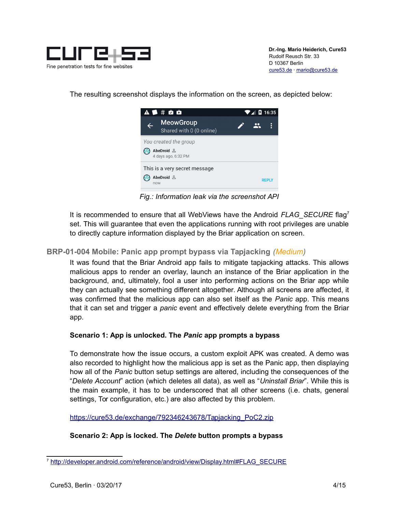

The resulting screenshot displays the information on the screen, as depicted below:



*Fig.: Information leak via the screenshot API*

It is recommended to ensure that all WebViews have the Android *FLAG\_SECURE* flag[7](#page-3-1) set. This will guarantee that even the applications running with root privileges are unable to directly capture information displayed by the Briar application on screen.

### <span id="page-3-0"></span>**BRP-01-004 Mobile: Panic app prompt bypass via Tapjacking** *(Medium)*

It was found that the Briar Android app fails to mitigate tapjacking attacks. This allows malicious apps to render an overlay, launch an instance of the Briar application in the background, and, ultimately, fool a user into performing actions on the Briar app while they can actually see something different altogether. Although all screens are affected, it was confirmed that the malicious app can also set itself as the *Panic* app. This means that it can set and trigger a *panic* event and effectively delete everything from the Briar app.

#### **Scenario 1: App is unlocked. The** *Panic* **app prompts a bypass**

To demonstrate how the issue occurs, a custom exploit APK was created. A demo was also recorded to highlight how the malicious app is set as the Panic app, then displaying how all of the *Panic* button setup settings are altered, including the consequences of the "*Delete Account*" action (which deletes all data), as well as "*Uninstall Briar*". While this is the main example, it has to be underscored that all other screens (i.e. chats, general settings, Tor configuration, etc.) are also affected by this problem.

[https://cure53.de/exchange/792346243678/Tapjacking\\_PoC2.zip](https://cure53.de/exchange/792346243678/Tapjacking_PoC2.zip)

### **Scenario 2: App is locked. The** *Delete* **button prompts a bypass**

<span id="page-3-1"></span><sup>7</sup> [http://developer.android.com/reference/android/view/Display.html#FLAG\\_SECURE](http://developer.android.com/reference/android/view/Display.html#FLAG_SECURE)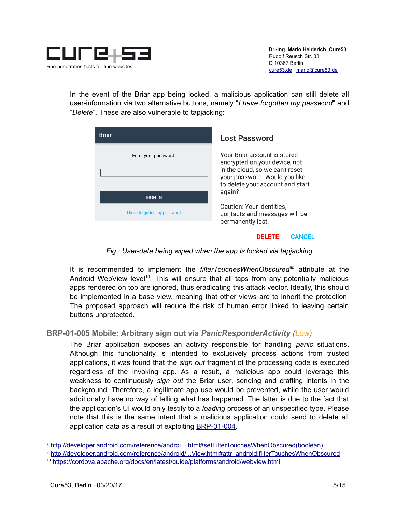

In the event of the Briar app being locked, a malicious application can still delete all user-information via two alternative buttons, namely "*I have forgotten my password*" and "*Delete*". These are also vulnerable to tapjacking:

| <b>Briar</b>                 | <b>Lost Password</b>                                                                                                                                                  |
|------------------------------|-----------------------------------------------------------------------------------------------------------------------------------------------------------------------|
| Enter your password:         | Your Briar account is stored<br>encrypted on your device, not<br>in the cloud, so we can't reset<br>your password. Would you like<br>to delete your account and start |
| <b>SIGN IN</b>               | again?                                                                                                                                                                |
| I have forgotten my password | Caution: Your identities,<br>contacts and messages will be<br>permanently lost.                                                                                       |
|                              |                                                                                                                                                                       |

#### **DELETE CANCEL**

*Fig.: User-data being wiped when the app is locked via tapjacking*

It is recommended to implement the *filterTouchesWhenObscured[8](#page-4-1)[9](#page-4-2)* attribute at the Android WebView level<sup>[10](#page-4-3)</sup>. This will ensure that all taps from any potentially malicious apps rendered on top are ignored, thus eradicating this attack vector. Ideally, this should be implemented in a base view, meaning that other views are to inherit the protection. The proposed approach will reduce the risk of human error linked to leaving certain buttons unprotected.

### <span id="page-4-0"></span>**BRP-01-005 Mobile: Arbitrary sign out via** *PanicResponderActivity (Low)*

The Briar application exposes an activity responsible for handling *panic* situations. Although this functionality is intended to exclusively process actions from trusted applications, it was found that the *sign out* fragment of the processing code is executed regardless of the invoking app. As a result, a malicious app could leverage this weakness to continuously *sign out* the Briar user, sending and crafting intents in the background. Therefore, a legitimate app use would be prevented, while the user would additionally have no way of telling what has happened. The latter is due to the fact that the application's UI would only testify to a *loading* process of an unspecified type. Please note that this is the same intent that a malicious application could send to delete all application data as a result of exploiting [BRP-01-004.](#page-3-0)

<span id="page-4-1"></span><sup>8</sup> [http://developer.android.com/reference/androi....html#setFilterTouchesWhenObscured\(boolean\)](http://developer.android.com/reference/android/view/View.html#setFilterTouchesWhenObscured(boolean))

<span id="page-4-2"></span><sup>9</sup> [http://developer.android.com/reference/android/...View.html#attr\\_android:filterTouchesWhenObscured](http://developer.android.com/reference/android/view/View.html#attr_android:filterTouchesWhenObscured)

<span id="page-4-3"></span><sup>10</sup> <https://cordova.apache.org/docs/en/latest/guide/platforms/android/webview.html>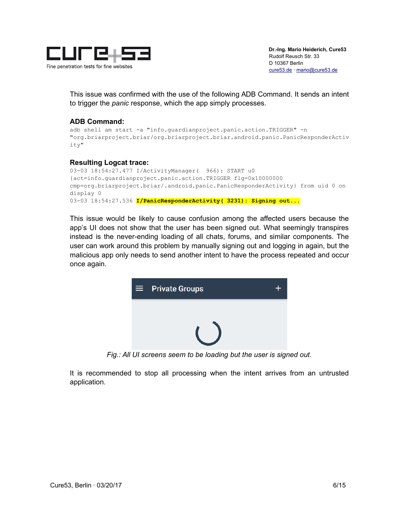

This issue was confirmed with the use of the following ADB Command. It sends an intent to trigger the *panic* response, which the app simply processes.

#### **ADB Command:**

```
adb shell am start -a "info.guardianproject.panic.action.TRIGGER" -n 
"org.briarproject.briar/org.briarproject.briar.android.panic.PanicResponderActiv
ity"
```
#### **Resulting Logcat trace:**

```
03-03 18:54:27.477 I/ActivityManager( 966): START u0 
{act=info.guardianproject.panic.action.TRIGGER flg=0x10000000 
cmp=org.briarproject.briar/.android.panic.PanicResponderActivity} from uid 0 on 
display 0
03-03 18:54:27.536 I/PanicResponderActivity( 3231): Signing out...
```
This issue would be likely to cause confusion among the affected users because the app's UI does not show that the user has been signed out. What seemingly transpires instead is the never-ending loading of all chats, forums, and similar components. The user can work around this problem by manually signing out and logging in again, but the malicious app only needs to send another intent to have the process repeated and occur once again.



*Fig.: All UI screens seem to be loading but the user is signed out.*

It is recommended to stop all processing when the intent arrives from an untrusted application.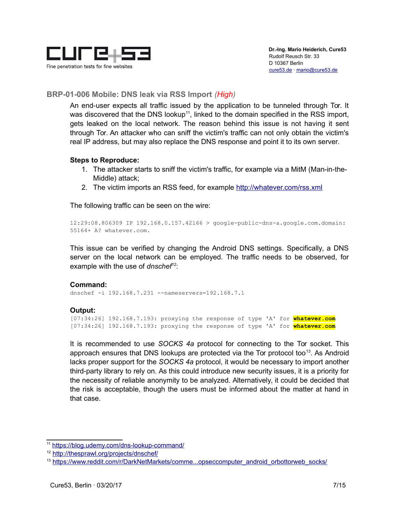

#### <span id="page-6-0"></span>**BRP-01-006 Mobile: DNS leak via RSS Import** *(High)*

An end-user expects all traffic issued by the application to be tunneled through Tor. It was discovered that the DNS lookup<sup>[11](#page-6-1)</sup>, linked to the domain specified in the RSS import, gets leaked on the local network. The reason behind this issue is not having it sent through Tor. An attacker who can sniff the victim's traffic can not only obtain the victim's real IP address, but may also replace the DNS response and point it to its own server.

#### **Steps to Reproduce:**

- 1. The attacker starts to sniff the victim's traffic, for example via a MitM (Man-in-the-Middle) attack;
- 2. The victim imports an RSS feed, for example<http://whatever.com/rss.xml>

The following traffic can be seen on the wire:

12:29:08.806309 IP 192.168.0.157.42166 > google-public-dns-a.google.com.domain: 55164+ A? whatever.com.

This issue can be verified by changing the Android DNS settings. Specifically, a DNS server on the local network can be employed. The traffic needs to be observed, for example with the use of *dnschef[12](#page-6-2)*:

#### **Command:**

dnschef -i 192.168.7.231 --nameservers=192.168.7.1

#### **Output:**

[07:34:26] 192.168.7.193: proxying the response of type 'A' for **whatever.com** [07:34:26] 192.168.7.193: proxying the response of type 'A' for **whatever.com**

It is recommended to use *SOCKS 4a* protocol for connecting to the Tor socket. This approach ensures that DNS lookups are protected via the Tor protocol too<sup>[13](#page-6-3)</sup>. As Android lacks proper support for the *SOCKS 4a* protocol, it would be necessary to import another third-party library to rely on. As this could introduce new security issues, it is a priority for the necessity of reliable anonymity to be analyzed. Alternatively, it could be decided that the risk is acceptable, though the users must be informed about the matter at hand in that case.

<span id="page-6-1"></span><sup>11</sup> <https://blog.udemy.com/dns-lookup-command/>

<span id="page-6-2"></span><sup>12</sup> <http://thesprawl.org/projects/dnschef/>

<span id="page-6-3"></span><sup>&</sup>lt;sup>13</sup> [https://www.reddit.com/r/DarkNetMarkets/comme...opseccomputer\\_android\\_orbottorweb\\_socks/](https://www.reddit.com/r/DarkNetMarkets/comments/2ziorr/opseccomputer_android_orbottorweb_socks/)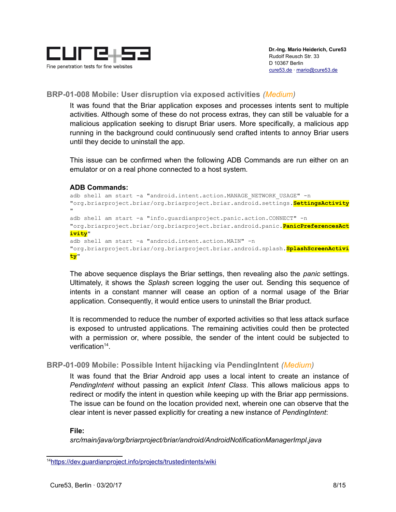

#### <span id="page-7-1"></span>**BRP-01-008 Mobile: User disruption via exposed activities** *(Medium)*

It was found that the Briar application exposes and processes intents sent to multiple activities. Although some of these do not process extras, they can still be valuable for a malicious application seeking to disrupt Briar users. More specifically, a malicious app running in the background could continuously send crafted intents to annoy Briar users until they decide to uninstall the app.

This issue can be confirmed when the following ADB Commands are run either on an emulator or on a real phone connected to a host system.

#### **ADB Commands:**

```
adb shell am start -a "android.intent.action.MANAGE NETWORK USAGE" -n
"org.briarproject.briar/org.briarproject.briar.android.settings.SettingsActivity
..
adb shell am start -a "info.guardianproject.panic.action.CONNECT" -n 
"org.briarproject.briar/org.briarproject.briar.android.panic.PanicPreferencesAct
ivity"
adb shell am start -a "android.intent.action.MAIN" -n 
"org.briarproject.briar/org.briarproject.briar.android.splash.SplashScreenActivi
ty"
```
The above sequence displays the Briar settings, then revealing also the *panic* settings. Ultimately, it shows the *Splash* screen logging the user out. Sending this sequence of intents in a constant manner will cease an option of a normal usage of the Briar application. Consequently, it would entice users to uninstall the Briar product.

It is recommended to reduce the number of exported activities so that less attack surface is exposed to untrusted applications. The remaining activities could then be protected with a permission or, where possible, the sender of the intent could be subjected to verification<sup>[14](#page-7-2)</sup>.

### <span id="page-7-0"></span>**BRP-01-009 Mobile: Possible Intent hijacking via PendingIntent** *(Medium)*

It was found that the Briar Android app uses a local intent to create an instance of *PendingIntent* without passing an explicit *Intent Class*. This allows malicious apps to redirect or modify the intent in question while keeping up with the Briar app permissions. The issue can be found on the location provided next, wherein one can observe that the clear intent is never passed explicitly for creating a new instance of *PendingIntent*:

#### **File:**

*src/main/java/org/briarproject/briar/android/AndroidNotificationManagerImpl.java*

<span id="page-7-2"></span><sup>14</sup><https://dev.guardianproject.info/projects/trustedintents/wiki>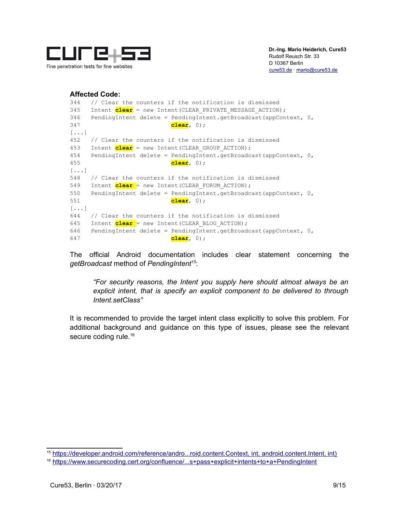

#### **Affected Code:**

```
344 // Clear the counters if the notification is dismissed
345 Intent clear = new Intent (CLEAR PRIVATE MESSAGE ACTION);
346 PendingIntent delete = PendingIntent.getBroadcast(appContext, 0,
347 clear, 0);
[...]
452 // Clear the counters if the notification is dismissed
453 Intent clear = new Intent(CLEAR_GROUP_ACTION);
454 PendingIntent delete = PendingIntent.getBroadcast(appContext, 0,
455 clear, 0);
[...]
548 // Clear the counters if the notification is dismissed
549 Intent clear = new Intent (CLEAR FORUM ACTION);
550 PendingIntent delete = PendingIntent.getBroadcast(appContext, 0,
551 clear, 0);
[...]
644 // Clear the counters if the notification is dismissed
645 Intent clear = new Intent(CLEAR_BLOG_ACTION);
646 PendingIntent delete = PendingIntent.getBroadcast(appContext, 0,
647 clear, 0);
```
The official Android documentation includes clear statement concerning the *getBroadcast* method of *PendingIntent[15](#page-8-0)*:

*"For security reasons, the Intent you supply here should almost always be an explicit intent, that is specify an explicit component to be delivered to through Intent.setClass"*

It is recommended to provide the target intent class explicitly to solve this problem. For additional background and guidance on this type of issues, please see the relevant secure coding rule.<sup>[16](#page-8-1)</sup>

<span id="page-8-0"></span><sup>15</sup> [https://developer.android.com/reference/andro...roid.content.Context, int, android.content.Intent, int\)](https://developer.android.com/reference/android/app/PendingIntent.html#getBroadcast(android.content.Context,%20int,%20android.content.Intent,%20int)) 

<span id="page-8-1"></span><sup>16</sup> [https://www.securecoding.cert.org/confluence/...s+pass+explicit+intents+to+a+PendingIntent](https://www.securecoding.cert.org/confluence/display/android/DRD21-J.+Always+pass+explicit+intents+to+a+PendingIntent)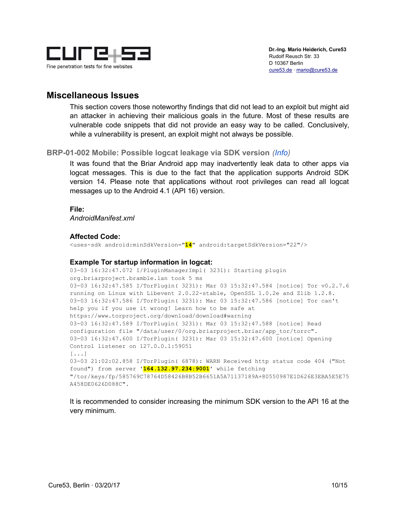

### <span id="page-9-1"></span>**Miscellaneous Issues**

This section covers those noteworthy findings that did not lead to an exploit but might aid an attacker in achieving their malicious goals in the future. Most of these results are vulnerable code snippets that did not provide an easy way to be called. Conclusively, while a vulnerability is present, an exploit might not always be possible.

#### <span id="page-9-0"></span>**BRP-01-002 Mobile: Possible logcat leakage via SDK version** *(Info)*

It was found that the Briar Android app may inadvertently leak data to other apps via logcat messages. This is due to the fact that the application supports Android SDK version 14. Please note that applications without root privileges can read all logcat messages up to the Android 4.1 (API 16) version.

#### **File:**

*AndroidManifest.xml*

#### **Affected Code:**

<uses-sdk android:minSdkVersion="**14**" android:targetSdkVersion="22"/>

#### **Example Tor startup information in logcat:**

```
03-03 16:32:47.072 I/PluginManagerImpl( 3231): Starting plugin 
org.briarproject.bramble.lan took 5 ms
03-03 16:32:47.585 I/TorPlugin( 3231): Mar 03 15:32:47.584 [notice] Tor v0.2.7.6
running on Linux with Libevent 2.0.22-stable, OpenSSL 1.0.2e and Zlib 1.2.8.
03-03 16:32:47.586 I/TorPlugin( 3231): Mar 03 15:32:47.586 [notice] Tor can't 
help you if you use it wrong! Learn how to be safe at 
https://www.torproject.org/download/download#warning
03-03 16:32:47.589 I/TorPlugin( 3231): Mar 03 15:32:47.588 [notice] Read 
configuration file "/data/user/0/org.briarproject.briar/app_tor/torrc".
03-03 16:32:47.600 I/TorPlugin( 3231): Mar 03 15:32:47.600 [notice] Opening 
Control listener on 127.0.0.1:59051
[...]
03-03 21:02:02.858 I/TorPlugin( 6878): WARN Received http status code 404 ("Not 
found") from server '164.132.97.234:9001' while fetching 
"/tor/keys/fp/585769C78764D58426B8B52B6651A5A71137189A+80550987E1D626E3EBA5E5E75
A458DE0626D088C".
```
It is recommended to consider increasing the minimum SDK version to the API 16 at the very minimum.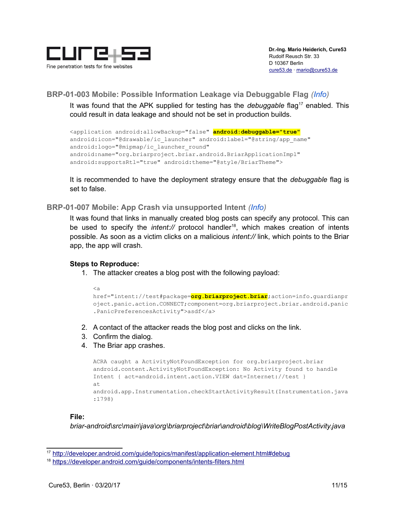

### <span id="page-10-1"></span>**BRP-01-003 Mobile: Possible Information Leakage via Debuggable Flag** *(Info)*

It was found that the APK supplied for testing has the *debuggable* flag<sup>[17](#page-10-2)</sup> enabled. This could result in data leakage and should not be set in production builds.

```
<application android:allowBackup="false" android:debuggable="true"
android:icon="@drawable/ic_launcher" android:label="@string/app_name"
android:logo="@mipmap/ic_launcher_round"
android:name="org.briarproject.briar.android.BriarApplicationImpl" 
android:supportsRtl="true" android:theme="@style/BriarTheme">
```
It is recommended to have the deployment strategy ensure that the *debuggable* flag is set to false.

#### <span id="page-10-0"></span>**BRP-01-007 Mobile: App Crash via unsupported Intent** *(Info)*

It was found that links in manually created blog posts can specify any protocol. This can be used to specify the *intent://* protocol handler<sup>[18](#page-10-3)</sup>, which makes creation of intents possible. As soon as a victim clicks on a malicious *intent://* link, which points to the Briar app, the app will crash.

#### **Steps to Reproduce:**

1. The attacker creates a blog post with the following payload:

```
<a
href="intent://test#package=org.briarproject.briar;action=info.guardianpr
oject.panic.action.CONNECT;component=org.briarproject.briar.android.panic
.PanicPreferencesActivity">asdf</a>
```
- 2. A contact of the attacker reads the blog post and clicks on the link.
- 3. Confirm the dialog.
- 4. The Briar app crashes.

```
ACRA caught a ActivityNotFoundException for org.briarproject.briar
android.content.ActivityNotFoundException: No Activity found to handle 
Intent { act=android.intent.action.VIEW dat=Internet://test }
at 
android.app.Instrumentation.checkStartActivityResult(Instrumentation.java
:1798)
```
#### **File:**

*briar-android\src\main\java\org\briarproject\briar\android\blog\WriteBlogPostActivity.java*

<span id="page-10-2"></span><sup>17</sup> <http://developer.android.com/guide/topics/manifest/application-element.html#debug>

<span id="page-10-3"></span><sup>18</sup> <https://developer.android.com/guide/components/intents-filters.html>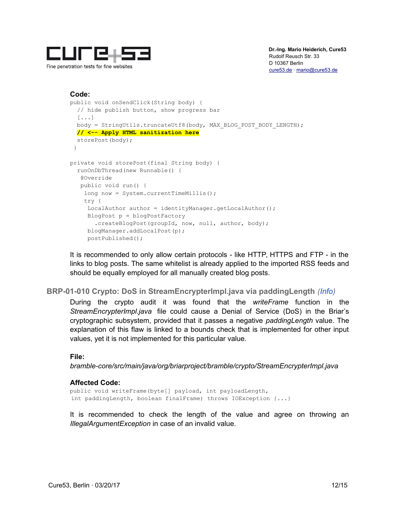

### **Code:**

```
public void onSendClick(String body) {
  // hide publish button, show progress bar
  [\ldots] body = StringUtils.truncateUtf8(body, MAX_BLOG_POST_BODY_LENGTH);
   // <-- Apply HTML sanitization here
  storePost(body);
  }
private void storePost(final String body) {
  runOnDbThread(new Runnable() {
    @Override
   public void run() {
   long now = System.currentTimeMillis();
     try {
    LocalAuthor author = identityManager.getLocalAuthor();
     BlogPost p = blogPostFactory
        .createBlogPost(groupId, now, null, author, body);
      blogManager.addLocalPost(p);
      postPublished();
```
It is recommended to only allow certain protocols - like HTTP, HTTPS and FTP - in the links to blog posts. The same whitelist is already applied to the imported RSS feeds and should be equally employed for all manually created blog posts.

### <span id="page-11-0"></span>**BRP-01-010 Crypto: DoS in StreamEncrypterImpl.java via paddingLength** *(Info)*

During the crypto audit it was found that the *writeFrame* function in the *StreamEncrypterImpl.java* file could cause a Denial of Service (DoS) in the Briar's cryptographic subsystem, provided that it passes a negative *paddingLength* value. The explanation of this flaw is linked to a bounds check that is implemented for other input values, yet it is not implemented for this particular value.

#### **File:**

*bramble-core/src/main/java/org/briarproject/bramble/crypto/StreamEncrypterImpl.java*

#### **Affected Code:**

public void writeFrame(byte[] payload, int payloadLength, int paddingLength, boolean finalFrame) throws IOException {...}

It is recommended to check the length of the value and agree on throwing an *IllegalArgumentException* in case of an invalid value.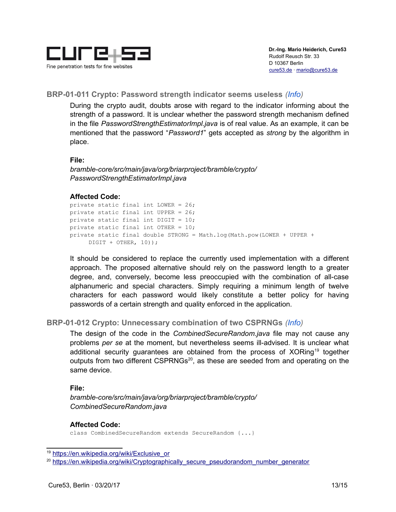

#### <span id="page-12-1"></span>**BRP-01-011 Crypto: Password strength indicator seems useless** *(Info)*

During the crypto audit, doubts arose with regard to the indicator informing about the strength of a password. It is unclear whether the password strength mechanism defined in the file *PasswordStrengthEstimatorImpl.java* is of real value. As an example, it can be mentioned that the password "*Password1*" gets accepted as *strong* by the algorithm in place.

#### **File:**

*bramble-core/src/main/java/org/briarproject/bramble/crypto/ PasswordStrengthEstimatorImpl.java*

#### **Affected Code:**

private static final int LOWER = 26; private static final int UPPER = 26; private static final int DIGIT = 10; private static final int OTHER = 10; private static final double STRONG = Math.log(Math.pow(LOWER + UPPER +  $DIST + OTHER, 10));$ 

It should be considered to replace the currently used implementation with a different approach. The proposed alternative should rely on the password length to a greater degree, and, conversely, become less preoccupied with the combination of all-case alphanumeric and special characters. Simply requiring a minimum length of twelve characters for each password would likely constitute a better policy for having passwords of a certain strength and quality enforced in the application.

#### <span id="page-12-0"></span>**BRP-01-012 Crypto: Unnecessary combination of two CSPRNGs** *(Info)*

The design of the code in the *CombinedSecureRandom.java* file may not cause any problems *per se* at the moment, but nevertheless seems ill-advised. It is unclear what additional security guarantees are obtained from the process of XORing<sup>[19](#page-12-2)</sup> together outputs from two different CSPRNGs<sup>[20](#page-12-3)</sup>, as these are seeded from and operating on the same device.

#### **File:**

*bramble-core/src/main/java/org/briarproject/bramble/crypto/ CombinedSecureRandom.java*

#### **Affected Code:**

class CombinedSecureRandom extends SecureRandom {...}

<span id="page-12-2"></span><sup>19</sup> [https://en.wikipedia.org/wiki/Exclusive\\_or](https://en.wikipedia.org/wiki/Exclusive_or)

<span id="page-12-3"></span><sup>&</sup>lt;sup>20</sup> [https://en.wikipedia.org/wiki/Cryptographically\\_secure\\_pseudorandom\\_number\\_generator](https://en.wikipedia.org/wiki/Cryptographically_secure_pseudorandom_number_generator)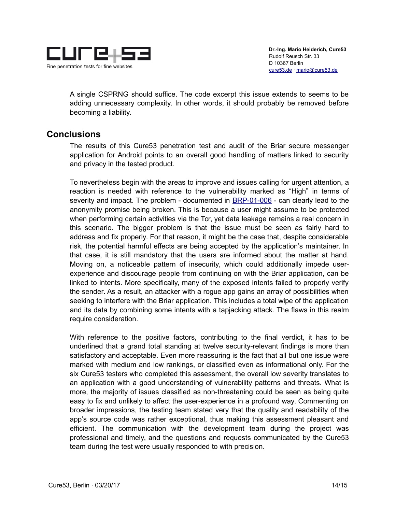

A single CSPRNG should suffice. The code excerpt this issue extends to seems to be adding unnecessary complexity. In other words, it should probably be removed before becoming a liability.

### <span id="page-13-0"></span>**Conclusions**

The results of this Cure53 penetration test and audit of the Briar secure messenger application for Android points to an overall good handling of matters linked to security and privacy in the tested product.

To nevertheless begin with the areas to improve and issues calling for urgent attention, a reaction is needed with reference to the vulnerability marked as "High" in terms of severity and impact. The problem - documented in [BRP-01-006](#page-6-0) - can clearly lead to the anonymity promise being broken. This is because a user might assume to be protected when performing certain activities via the Tor, yet data leakage remains a real concern in this scenario. The bigger problem is that the issue must be seen as fairly hard to address and fix properly. For that reason, it might be the case that, despite considerable risk, the potential harmful effects are being accepted by the application's maintainer. In that case, it is still mandatory that the users are informed about the matter at hand. Moving on, a noticeable pattern of insecurity, which could additionally impede userexperience and discourage people from continuing on with the Briar application, can be linked to intents. More specifically, many of the exposed intents failed to properly verify the sender. As a result, an attacker with a rogue app gains an array of possibilities when seeking to interfere with the Briar application. This includes a total wipe of the application and its data by combining some intents with a tapjacking attack. The flaws in this realm require consideration.

With reference to the positive factors, contributing to the final verdict, it has to be underlined that a grand total standing at twelve security-relevant findings is more than satisfactory and acceptable. Even more reassuring is the fact that all but one issue were marked with medium and low rankings, or classified even as informational only. For the six Cure53 testers who completed this assessment, the overall low severity translates to an application with a good understanding of vulnerability patterns and threats. What is more, the majority of issues classified as non-threatening could be seen as being quite easy to fix and unlikely to affect the user-experience in a profound way. Commenting on broader impressions, the testing team stated very that the quality and readability of the app's source code was rather exceptional, thus making this assessment pleasant and efficient. The communication with the development team during the project was professional and timely, and the questions and requests communicated by the Cure53 team during the test were usually responded to with precision.